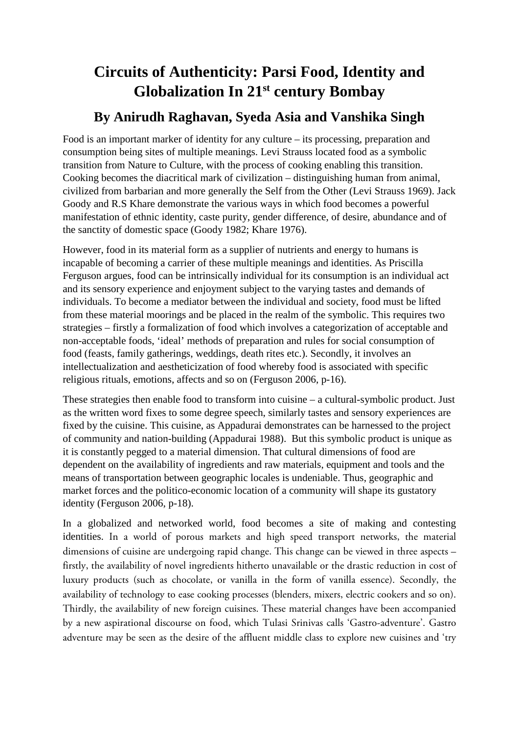# **Circuits of Authenticity: Parsi Food, Identity and Globalization In 21st century Bombay**

# **By Anirudh Raghavan, Syeda Asia and Vanshika Singh**

Food is an important marker of identity for any culture – its processing, preparation and consumption being sites of multiple meanings. Levi Strauss located food as a symbolic transition from Nature to Culture, with the process of cooking enabling this transition. Cooking becomes the diacritical mark of civilization – distinguishing human from animal, civilized from barbarian and more generally the Self from the Other (Levi Strauss 1969). Jack Goody and R.S Khare demonstrate the various ways in which food becomes a powerful manifestation of ethnic identity, caste purity, gender difference, of desire, abundance and of the sanctity of domestic space (Goody 1982; Khare 1976).

However, food in its material form as a supplier of nutrients and energy to humans is incapable of becoming a carrier of these multiple meanings and identities. As Priscilla Ferguson argues, food can be intrinsically individual for its consumption is an individual act and its sensory experience and enjoyment subject to the varying tastes and demands of individuals. To become a mediator between the individual and society, food must be lifted from these material moorings and be placed in the realm of the symbolic. This requires two strategies – firstly a formalization of food which involves a categorization of acceptable and non-acceptable foods, 'ideal' methods of preparation and rules for social consumption of food (feasts, family gatherings, weddings, death rites etc.). Secondly, it involves an intellectualization and aestheticization of food whereby food is associated with specific religious rituals, emotions, affects and so on (Ferguson 2006, p-16).

These strategies then enable food to transform into cuisine – a cultural-symbolic product. Just as the written word fixes to some degree speech, similarly tastes and sensory experiences are fixed by the cuisine. This cuisine, as Appadurai demonstrates can be harnessed to the project of community and nation-building (Appadurai 1988). But this symbolic product is unique as it is constantly pegged to a material dimension. That cultural dimensions of food are dependent on the availability of ingredients and raw materials, equipment and tools and the means of transportation between geographic locales is undeniable. Thus, geographic and market forces and the politico-economic location of a community will shape its gustatory identity (Ferguson 2006, p-18).

In a globalized and networked world, food becomes a site of making and contesting identities. In a world of porous markets and high speed transport networks, the material dimensions of cuisine are undergoing rapid change. This change can be viewed in three aspects – firstly, the availability of novel ingredients hitherto unavailable or the drastic reduction in cost of luxury products (such as chocolate, or vanilla in the form of vanilla essence). Secondly, the availability of technology to ease cooking processes (blenders, mixers, electric cookers and so on). Thirdly, the availability of new foreign cuisines. These material changes have been accompanied by a new aspirational discourse on food, which Tulasi Srinivas calls 'Gastro-adventure'. Gastro adventure may be seen as the desire of the affluent middle class to explore new cuisines and 'try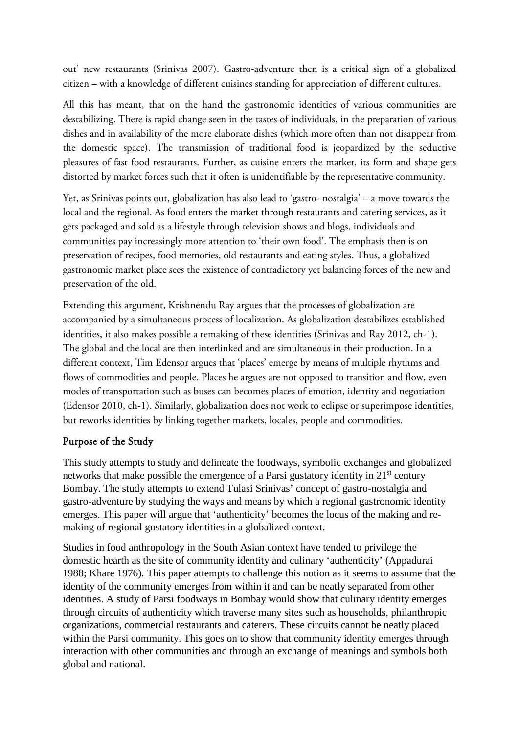out' new restaurants (Srinivas 2007). Gastro-adventure then is a critical sign of a globalized citizen – with a knowledge of different cuisines standing for appreciation of different cultures.

All this has meant, that on the hand the gastronomic identities of various communities are destabilizing. There is rapid change seen in the tastes of individuals, in the preparation of various dishes and in availability of the more elaborate dishes (which more often than not disappear from the domestic space). The transmission of traditional food is jeopardized by the seductive pleasures of fast food restaurants. Further, as cuisine enters the market, its form and shape gets distorted by market forces such that it often is unidentifiable by the representative community.

Yet, as Srinivas points out, globalization has also lead to 'gastro- nostalgia' – a move towards the local and the regional. As food enters the market through restaurants and catering services, as it gets packaged and sold as a lifestyle through television shows and blogs, individuals and communities pay increasingly more attention to 'their own food'. The emphasis then is on preservation of recipes, food memories, old restaurants and eating styles. Thus, a globalized gastronomic market place sees the existence of contradictory yet balancing forces of the new and preservation of the old.

Extending this argument, Krishnendu Ray argues that the processes of globalization are accompanied by a simultaneous process of localization. As globalization destabilizes established identities, it also makes possible a remaking of these identities (Srinivas and Ray 2012, ch-1). The global and the local are then interlinked and are simultaneous in their production. In a different context, Tim Edensor argues that 'places' emerge by means of multiple rhythms and flows of commodities and people. Places he argues are not opposed to transition and flow, even modes of transportation such as buses can becomes places of emotion, identity and negotiation (Edensor 2010, ch-1). Similarly, globalization does not work to eclipse or superimpose identities, but reworks identities by linking together markets, locales, people and commodities.

#### Purpose of the Study

This study attempts to study and delineate the foodways, symbolic exchanges and globalized networks that make possible the emergence of a Parsi gustatory identity in  $21<sup>st</sup>$  century Bombay. The study attempts to extend Tulasi Srinivas' concept of gastro-nostalgia and gastro-adventure by studying the ways and means by which a regional gastronomic identity emerges. This paper will argue that 'authenticity' becomes the locus of the making and remaking of regional gustatory identities in a globalized context.

Studies in food anthropology in the South Asian context have tended to privilege the domestic hearth as the site of community identity and culinary 'authenticity' (Appadurai 1988; Khare 1976). This paper attempts to challenge this notion as it seems to assume that the identity of the community emerges from within it and can be neatly separated from other identities. A study of Parsi foodways in Bombay would show that culinary identity emerges through circuits of authenticity which traverse many sites such as households, philanthropic organizations, commercial restaurants and caterers. These circuits cannot be neatly placed within the Parsi community. This goes on to show that community identity emerges through interaction with other communities and through an exchange of meanings and symbols both global and national.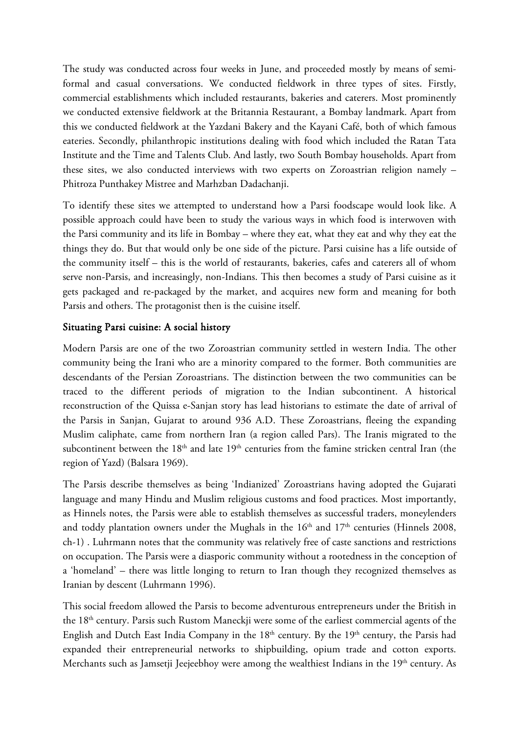The study was conducted across four weeks in June, and proceeded mostly by means of semiformal and casual conversations. We conducted fieldwork in three types of sites. Firstly, commercial establishments which included restaurants, bakeries and caterers. Most prominently we conducted extensive fieldwork at the Britannia Restaurant, a Bombay landmark. Apart from this we conducted fieldwork at the Yazdani Bakery and the Kayani Café, both of which famous eateries. Secondly, philanthropic institutions dealing with food which included the Ratan Tata Institute and the Time and Talents Club. And lastly, two South Bombay households. Apart from these sites, we also conducted interviews with two experts on Zoroastrian religion namely – Phitroza Punthakey Mistree and Marhzban Dadachanji.

To identify these sites we attempted to understand how a Parsi foodscape would look like. A possible approach could have been to study the various ways in which food is interwoven with the Parsi community and its life in Bombay – where they eat, what they eat and why they eat the things they do. But that would only be one side of the picture. Parsi cuisine has a life outside of the community itself – this is the world of restaurants, bakeries, cafes and caterers all of whom serve non-Parsis, and increasingly, non-Indians. This then becomes a study of Parsi cuisine as it gets packaged and re-packaged by the market, and acquires new form and meaning for both Parsis and others. The protagonist then is the cuisine itself.

#### Situating Parsi cuisine: A social history

Modern Parsis are one of the two Zoroastrian community settled in western India. The other community being the Irani who are a minority compared to the former. Both communities are descendants of the Persian Zoroastrians. The distinction between the two communities can be traced to the different periods of migration to the Indian subcontinent. A historical reconstruction of the Quissa e-Sanjan story has lead historians to estimate the date of arrival of the Parsis in Sanjan, Gujarat to around 936 A.D. These Zoroastrians, fleeing the expanding Muslim caliphate, came from northern Iran (a region called Pars). The Iranis migrated to the subcontinent between the 18<sup>th</sup> and late 19<sup>th</sup> centuries from the famine stricken central Iran (the region of Yazd) (Balsara 1969).

The Parsis describe themselves as being 'Indianized' Zoroastrians having adopted the Gujarati language and many Hindu and Muslim religious customs and food practices. Most importantly, as Hinnels notes, the Parsis were able to establish themselves as successful traders, moneylenders and toddy plantation owners under the Mughals in the  $16<sup>th</sup>$  and  $17<sup>th</sup>$  centuries (Hinnels 2008, ch-1) . Luhrmann notes that the community was relatively free of caste sanctions and restrictions on occupation. The Parsis were a diasporic community without a rootedness in the conception of a 'homeland' – there was little longing to return to Iran though they recognized themselves as Iranian by descent (Luhrmann 1996).

This social freedom allowed the Parsis to become adventurous entrepreneurs under the British in the 18th century. Parsis such Rustom Maneckji were some of the earliest commercial agents of the English and Dutch East India Company in the  $18<sup>th</sup>$  century. By the  $19<sup>th</sup>$  century, the Parsis had expanded their entrepreneurial networks to shipbuilding, opium trade and cotton exports. Merchants such as Jamsetji Jeejeebhoy were among the wealthiest Indians in the 19<sup>th</sup> century. As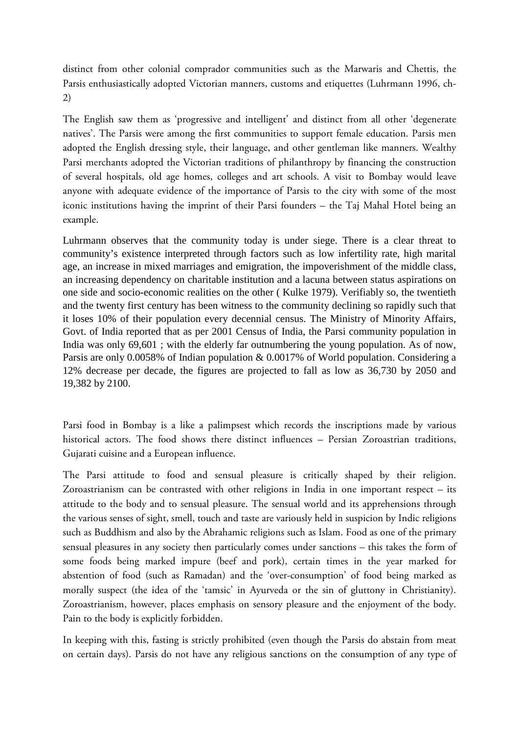distinct from other colonial comprador communities such as the Marwaris and Chettis, the Parsis enthusiastically adopted Victorian manners, customs and etiquettes (Luhrmann 1996, ch-2)

The English saw them as 'progressive and intelligent' and distinct from all other 'degenerate natives'. The Parsis were among the first communities to support female education. Parsis men adopted the English dressing style, their language, and other gentleman like manners. Wealthy Parsi merchants adopted the Victorian traditions of philanthropy by financing the construction of several hospitals, old age homes, colleges and art schools. A visit to Bombay would leave anyone with adequate evidence of the importance of Parsis to the city with some of the most iconic institutions having the imprint of their Parsi founders – the Taj Mahal Hotel being an example.

Luhrmann observes that the community today is under siege. There is a clear threat to community's existence interpreted through factors such as low infertility rate, high marital age, an increase in mixed marriages and emigration, the impoverishment of the middle class, an increasing dependency on charitable institution and a lacuna between status aspirations on one side and socio-economic realities on the other ( Kulke 1979). Verifiably so, the twentieth and the twenty first century has been witness to the community declining so rapidly such that it loses 10% of their population every decennial census. The Ministry of Minority Affairs, Govt. of India reported that as per 2001 Census of India, the Parsi community population in India was only 69,601 ; with the elderly far outnumbering the young population. As of now, Parsis are only 0.0058% of Indian population & 0.0017% of World population. Considering a 12% decrease per decade, the figures are projected to fall as low as 36,730 by 2050 and 19,382 by 2100.

Parsi food in Bombay is a like a palimpsest which records the inscriptions made by various historical actors. The food shows there distinct influences – Persian Zoroastrian traditions, Gujarati cuisine and a European influence.

The Parsi attitude to food and sensual pleasure is critically shaped by their religion. Zoroastrianism can be contrasted with other religions in India in one important respect – its attitude to the body and to sensual pleasure. The sensual world and its apprehensions through the various senses of sight, smell, touch and taste are variously held in suspicion by Indic religions such as Buddhism and also by the Abrahamic religions such as Islam. Food as one of the primary sensual pleasures in any society then particularly comes under sanctions – this takes the form of some foods being marked impure (beef and pork), certain times in the year marked for abstention of food (such as Ramadan) and the 'over-consumption' of food being marked as morally suspect (the idea of the 'tamsic' in Ayurveda or the sin of gluttony in Christianity). Zoroastrianism, however, places emphasis on sensory pleasure and the enjoyment of the body. Pain to the body is explicitly forbidden.

In keeping with this, fasting is strictly prohibited (even though the Parsis do abstain from meat on certain days). Parsis do not have any religious sanctions on the consumption of any type of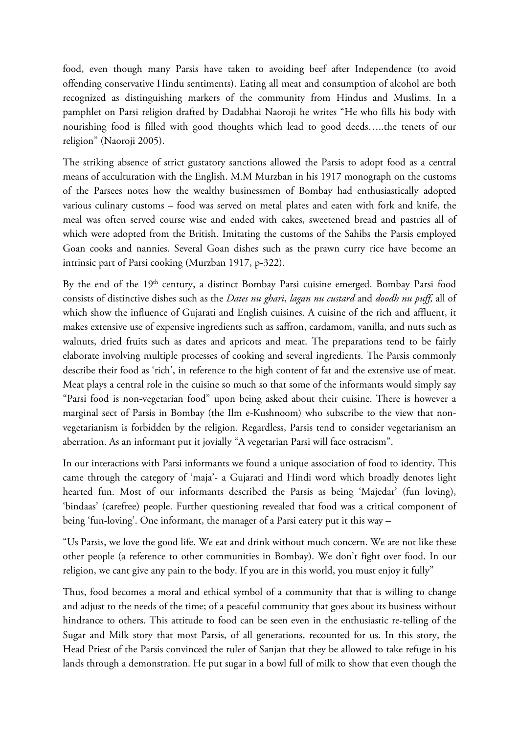food, even though many Parsis have taken to avoiding beef after Independence (to avoid offending conservative Hindu sentiments). Eating all meat and consumption of alcohol are both recognized as distinguishing markers of the community from Hindus and Muslims. In a pamphlet on Parsi religion drafted by Dadabhai Naoroji he writes "He who fills his body with nourishing food is filled with good thoughts which lead to good deeds…..the tenets of our religion" (Naoroji 2005).

The striking absence of strict gustatory sanctions allowed the Parsis to adopt food as a central means of acculturation with the English. M.M Murzban in his 1917 monograph on the customs of the Parsees notes how the wealthy businessmen of Bombay had enthusiastically adopted various culinary customs – food was served on metal plates and eaten with fork and knife, the meal was often served course wise and ended with cakes, sweetened bread and pastries all of which were adopted from the British. Imitating the customs of the Sahibs the Parsis employed Goan cooks and nannies. Several Goan dishes such as the prawn curry rice have become an intrinsic part of Parsi cooking (Murzban 1917, p-322).

By the end of the 19<sup>th</sup> century, a distinct Bombay Parsi cuisine emerged. Bombay Parsi food consists of distinctive dishes such as the *Dates nu ghari*, *lagan nu custard* and *doodh nu puff,* all of which show the influence of Gujarati and English cuisines. A cuisine of the rich and affluent, it makes extensive use of expensive ingredients such as saffron, cardamom, vanilla, and nuts such as walnuts, dried fruits such as dates and apricots and meat. The preparations tend to be fairly elaborate involving multiple processes of cooking and several ingredients. The Parsis commonly describe their food as 'rich', in reference to the high content of fat and the extensive use of meat. Meat plays a central role in the cuisine so much so that some of the informants would simply say "Parsi food is non-vegetarian food" upon being asked about their cuisine. There is however a marginal sect of Parsis in Bombay (the Ilm e-Kushnoom) who subscribe to the view that nonvegetarianism is forbidden by the religion. Regardless, Parsis tend to consider vegetarianism an aberration. As an informant put it jovially "A vegetarian Parsi will face ostracism".

In our interactions with Parsi informants we found a unique association of food to identity. This came through the category of 'maja'- a Gujarati and Hindi word which broadly denotes light hearted fun. Most of our informants described the Parsis as being 'Majedar' (fun loving), 'bindaas' (carefree) people. Further questioning revealed that food was a critical component of being 'fun-loving'. One informant, the manager of a Parsi eatery put it this way –

"Us Parsis, we love the good life. We eat and drink without much concern. We are not like these other people (a reference to other communities in Bombay). We don't fight over food. In our religion, we cant give any pain to the body. If you are in this world, you must enjoy it fully"

Thus, food becomes a moral and ethical symbol of a community that that is willing to change and adjust to the needs of the time; of a peaceful community that goes about its business without hindrance to others. This attitude to food can be seen even in the enthusiastic re-telling of the Sugar and Milk story that most Parsis, of all generations, recounted for us. In this story, the Head Priest of the Parsis convinced the ruler of Sanjan that they be allowed to take refuge in his lands through a demonstration. He put sugar in a bowl full of milk to show that even though the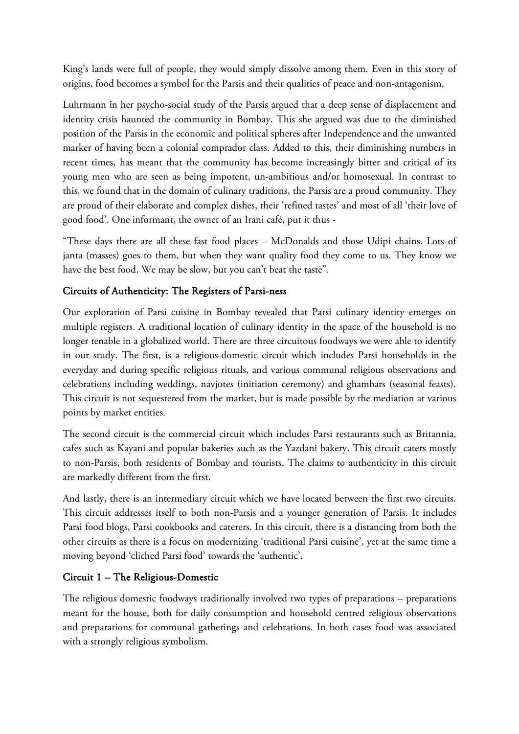King's lands were full of people, they would simply dissolve among them. Even in this story of origins, food becomes a symbol for the Parsis and their qualities of peace and non-antagonism.

Luhrmann in her psycho-social study of the Parsis argued that a deep sense of displacement and identity crisis haunted the community in Bombay. This she argued was due to the diminished position of the Parsis in the economic and political spheres after Independence and the unwanted marker of having been a colonial comprador class. Added to this, their diminishing numbers in recent times, has meant that the community has become increasingly bitter and critical of its young men who are seen as being impotent, un-ambitious and/or homosexual. In contrast to this, we found that in the domain of culinary traditions, the Parsis are a proud community. They are proud of their elaborate and complex dishes, their 'refined tastes' and most of all 'their love of good food'. One informant, the owner of an Irani café, put it thus -

"These days there are all these fast food places – McDonalds and those Udipi chains. Lots of janta (masses) goes to them, but when they want quality food they come to us. They know we have the best food. We may be slow, but you can't beat the taste".

### Circuits of Authenticity: The Registers of Parsi-ness

Our exploration of Parsi cuisine in Bombay revealed that Parsi culinary identity emerges on multiple registers. A traditional location of culinary identity in the space of the household is no longer tenable in a globalized world. There are three circuitous foodways we were able to identify in our study. The first, is a religious-domestic circuit which includes Parsi households in the everyday and during specific religious rituals, and various communal religious observations and celebrations including weddings, navjotes (initiation ceremony) and ghambars (seasonal feasts). This circuit is not sequestered from the market, but is made possible by the mediation at various points by market entities.

The second circuit is the commercial circuit which includes Parsi restaurants such as Britannia, cafes such as Kayani and popular bakeries such as the Yazdani bakery. This circuit caters mostly to non-Parsis, both residents of Bombay and tourists. The claims to authenticity in this circuit are markedly different from the first.

And lastly, there is an intermediary circuit which we have located between the first two circuits. This circuit addresses itself to both non-Parsis and a younger generation of Parsis. It includes Parsi food blogs, Parsi cookbooks and caterers. In this circuit, there is a distancing from both the other circuits as there is a focus on modernizing 'traditional Parsi cuisine', yet at the same time a moving beyond 'cliched Parsi food' towards the 'authentic'.

#### Circuit 1 – The Religious-Domestic

The religious domestic foodways traditionally involved two types of preparations – preparations meant for the house, both for daily consumption and household centred religious observations and preparations for communal gatherings and celebrations. In both cases food was associated with a strongly religious symbolism.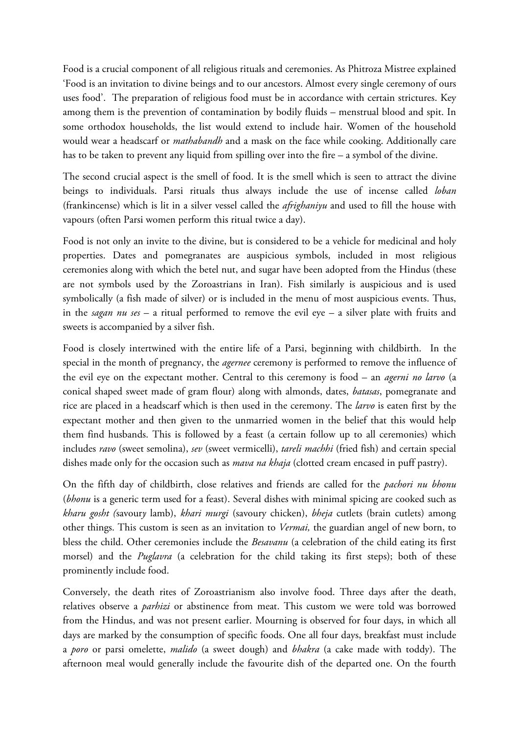Food is a crucial component of all religious rituals and ceremonies. As Phitroza Mistree explained 'Food is an invitation to divine beings and to our ancestors. Almost every single ceremony of ours uses food'. The preparation of religious food must be in accordance with certain strictures. Key among them is the prevention of contamination by bodily fluids – menstrual blood and spit. In some orthodox households, the list would extend to include hair. Women of the household would wear a headscarf or *mathabandh* and a mask on the face while cooking. Additionally care has to be taken to prevent any liquid from spilling over into the fire – a symbol of the divine.

The second crucial aspect is the smell of food. It is the smell which is seen to attract the divine beings to individuals. Parsi rituals thus always include the use of incense called *loban* (frankincense) which is lit in a silver vessel called the *afrighaniyu* and used to fill the house with vapours (often Parsi women perform this ritual twice a day).

Food is not only an invite to the divine, but is considered to be a vehicle for medicinal and holy properties. Dates and pomegranates are auspicious symbols, included in most religious ceremonies along with which the betel nut, and sugar have been adopted from the Hindus (these are not symbols used by the Zoroastrians in Iran). Fish similarly is auspicious and is used symbolically (a fish made of silver) or is included in the menu of most auspicious events. Thus, in the *sagan nu ses* – a ritual performed to remove the evil eye – a silver plate with fruits and sweets is accompanied by a silver fish.

Food is closely intertwined with the entire life of a Parsi, beginning with childbirth. In the special in the month of pregnancy, the *agernee* ceremony is performed to remove the influence of the evil eye on the expectant mother. Central to this ceremony is food – an *agerni no larvo* (a conical shaped sweet made of gram flour) along with almonds, dates, *batasas*, pomegranate and rice are placed in a headscarf which is then used in the ceremony. The *larvo* is eaten first by the expectant mother and then given to the unmarried women in the belief that this would help them find husbands. This is followed by a feast (a certain follow up to all ceremonies) which includes *ravo* (sweet semolina), *sev* (sweet vermicelli), *tareli machhi* (fried fish) and certain special dishes made only for the occasion such as *mava na khaja* (clotted cream encased in puff pastry).

On the fifth day of childbirth, close relatives and friends are called for the *pachori nu bhonu* (*bhonu* is a generic term used for a feast). Several dishes with minimal spicing are cooked such as *kharu gosht (*savour*y* lamb), *khari murgi* (savoury chicken), *bheja* cutlets (brain cutlets) among other things. This custom is seen as an invitation to *Vermai,* the guardian angel of new born, to bless the child. Other ceremonies include the *Besavanu* (a celebration of the child eating its first morsel) and the *Puglavra* (a celebration for the child taking its first steps); both of these prominently include food.

Conversely, the death rites of Zoroastrianism also involve food. Three days after the death, relatives observe a *parhizi* or abstinence from meat. This custom we were told was borrowed from the Hindus, and was not present earlier. Mourning is observed for four days, in which all days are marked by the consumption of specific foods. One all four days, breakfast must include a *poro* or parsi omelette, *malido* (a sweet dough) and *bhakra* (a cake made with toddy). The afternoon meal would generally include the favourite dish of the departed one. On the fourth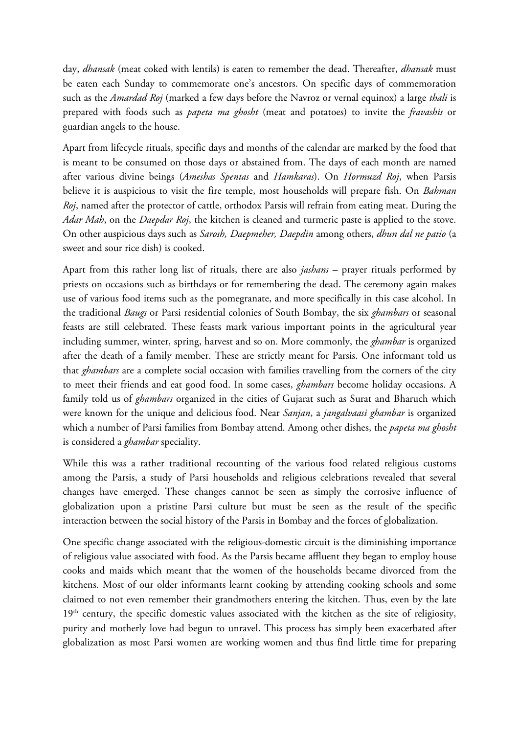day, *dhansak* (meat coked with lentils) is eaten to remember the dead. Thereafter, *dhansak* must be eaten each Sunday to commemorate one's ancestors. On specific days of commemoration such as the *Amardad Roj* (marked a few days before the Navroz or vernal equinox) a large *thali* is prepared with foods such as *papeta ma ghosht* (meat and potatoes) to invite the *fravashis* or guardian angels to the house.

Apart from lifecycle rituals, specific days and months of the calendar are marked by the food that is meant to be consumed on those days or abstained from. The days of each month are named after various divine beings (*Ameshas Spentas* and *Hamkaras*). On *Hormuzd Roj*, when Parsis believe it is auspicious to visit the fire temple, most households will prepare fish. On *Bahman Roj*, named after the protector of cattle, orthodox Parsis will refrain from eating meat. During the *Adar Mah*, on the *Daepdar Roj*, the kitchen is cleaned and turmeric paste is applied to the stove. On other auspicious days such as *Sarosh, Daepmeher, Daepdin* among others, *dhun dal ne patio* (a sweet and sour rice dish) is cooked.

Apart from this rather long list of rituals, there are also *jashans* – prayer rituals performed by priests on occasions such as birthdays or for remembering the dead. The ceremony again makes use of various food items such as the pomegranate, and more specifically in this case alcohol. In the traditional *Baugs* or Parsi residential colonies of South Bombay, the six *ghambars* or seasonal feasts are still celebrated. These feasts mark various important points in the agricultural year including summer, winter, spring, harvest and so on. More commonly, the *ghambar* is organized after the death of a family member. These are strictly meant for Parsis. One informant told us that *ghambars* are a complete social occasion with families travelling from the corners of the city to meet their friends and eat good food. In some cases, *ghambars* become holiday occasions. A family told us of *ghambars* organized in the cities of Gujarat such as Surat and Bharuch which were known for the unique and delicious food. Near *Sanjan*, a *jangalvaasi ghambar* is organized which a number of Parsi families from Bombay attend. Among other dishes, the *papeta ma ghosht* is considered a *ghambar* speciality.

While this was a rather traditional recounting of the various food related religious customs among the Parsis, a study of Parsi households and religious celebrations revealed that several changes have emerged. These changes cannot be seen as simply the corrosive influence of globalization upon a pristine Parsi culture but must be seen as the result of the specific interaction between the social history of the Parsis in Bombay and the forces of globalization.

One specific change associated with the religious-domestic circuit is the diminishing importance of religious value associated with food. As the Parsis became affluent they began to employ house cooks and maids which meant that the women of the households became divorced from the kitchens. Most of our older informants learnt cooking by attending cooking schools and some claimed to not even remember their grandmothers entering the kitchen. Thus, even by the late 19<sup>th</sup> century, the specific domestic values associated with the kitchen as the site of religiosity, purity and motherly love had begun to unravel. This process has simply been exacerbated after globalization as most Parsi women are working women and thus find little time for preparing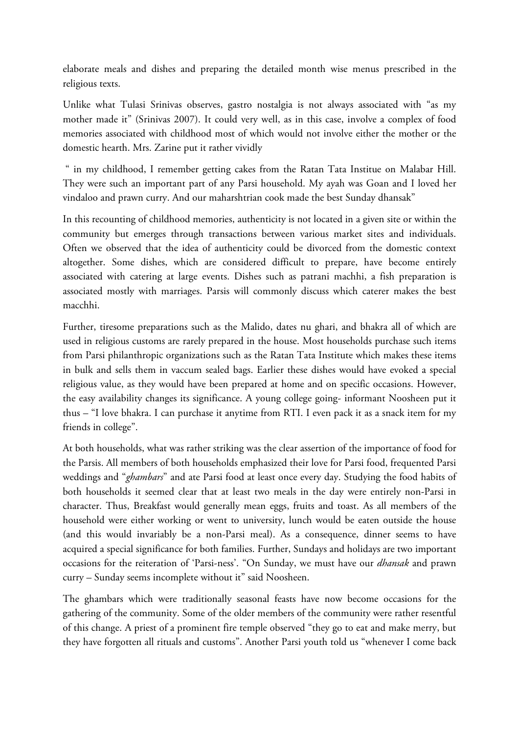elaborate meals and dishes and preparing the detailed month wise menus prescribed in the religious texts.

Unlike what Tulasi Srinivas observes, gastro nostalgia is not always associated with "as my mother made it" (Srinivas 2007). It could very well, as in this case, involve a complex of food memories associated with childhood most of which would not involve either the mother or the domestic hearth. Mrs. Zarine put it rather vividly

" in my childhood, I remember getting cakes from the Ratan Tata Institue on Malabar Hill. They were such an important part of any Parsi household. My ayah was Goan and I loved her vindaloo and prawn curry. And our maharshtrian cook made the best Sunday dhansak"

In this recounting of childhood memories, authenticity is not located in a given site or within the community but emerges through transactions between various market sites and individuals. Often we observed that the idea of authenticity could be divorced from the domestic context altogether. Some dishes, which are considered difficult to prepare, have become entirely associated with catering at large events. Dishes such as patrani machhi, a fish preparation is associated mostly with marriages. Parsis will commonly discuss which caterer makes the best macchhi.

Further, tiresome preparations such as the Malido, dates nu ghari, and bhakra all of which are used in religious customs are rarely prepared in the house. Most households purchase such items from Parsi philanthropic organizations such as the Ratan Tata Institute which makes these items in bulk and sells them in vaccum sealed bags. Earlier these dishes would have evoked a special religious value, as they would have been prepared at home and on specific occasions. However, the easy availability changes its significance. A young college going- informant Noosheen put it thus – "I love bhakra. I can purchase it anytime from RTI. I even pack it as a snack item for my friends in college".

At both households, what was rather striking was the clear assertion of the importance of food for the Parsis. All members of both households emphasized their love for Parsi food, frequented Parsi weddings and "*ghambars*" and ate Parsi food at least once every day. Studying the food habits of both households it seemed clear that at least two meals in the day were entirely non-Parsi in character. Thus, Breakfast would generally mean eggs, fruits and toast. As all members of the household were either working or went to university, lunch would be eaten outside the house (and this would invariably be a non-Parsi meal). As a consequence, dinner seems to have acquired a special significance for both families. Further, Sundays and holidays are two important occasions for the reiteration of 'Parsi-ness'. "On Sunday, we must have our *dhansak* and prawn curry – Sunday seems incomplete without it" said Noosheen.

The ghambars which were traditionally seasonal feasts have now become occasions for the gathering of the community. Some of the older members of the community were rather resentful of this change. A priest of a prominent fire temple observed "they go to eat and make merry, but they have forgotten all rituals and customs". Another Parsi youth told us "whenever I come back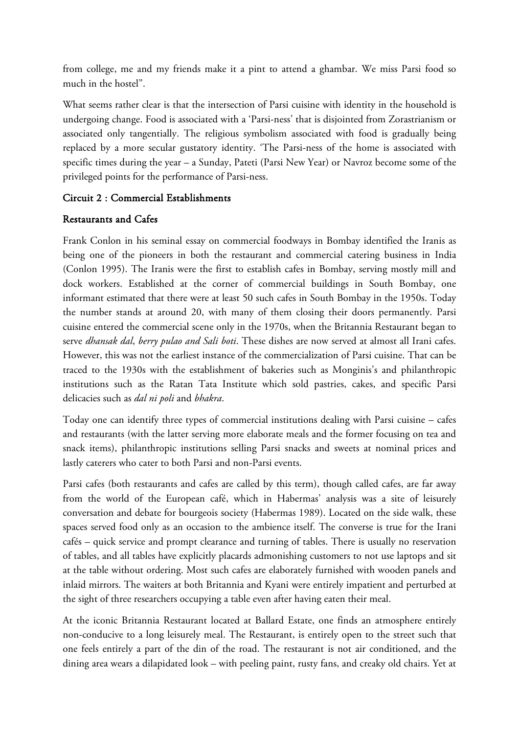from college, me and my friends make it a pint to attend a ghambar. We miss Parsi food so much in the hostel".

What seems rather clear is that the intersection of Parsi cuisine with identity in the household is undergoing change. Food is associated with a 'Parsi-ness' that is disjointed from Zorastrianism or associated only tangentially. The religious symbolism associated with food is gradually being replaced by a more secular gustatory identity. 'The Parsi-ness of the home is associated with specific times during the year – a Sunday, Pateti (Parsi New Year) or Navroz become some of the privileged points for the performance of Parsi-ness.

#### Circuit 2 : Commercial Establishments

#### Restaurants and Cafes

Frank Conlon in his seminal essay on commercial foodways in Bombay identified the Iranis as being one of the pioneers in both the restaurant and commercial catering business in India (Conlon 1995). The Iranis were the first to establish cafes in Bombay, serving mostly mill and dock workers. Established at the corner of commercial buildings in South Bombay, one informant estimated that there were at least 50 such cafes in South Bombay in the 1950s. Today the number stands at around 20, with many of them closing their doors permanently. Parsi cuisine entered the commercial scene only in the 1970s, when the Britannia Restaurant began to serve *dhansak dal*, *berry pulao and Sali boti*. These dishes are now served at almost all Irani cafes. However, this was not the earliest instance of the commercialization of Parsi cuisine. That can be traced to the 1930s with the establishment of bakeries such as Monginis's and philanthropic institutions such as the Ratan Tata Institute which sold pastries, cakes, and specific Parsi delicacies such as *dal ni poli* and *bhakra*.

Today one can identify three types of commercial institutions dealing with Parsi cuisine – cafes and restaurants (with the latter serving more elaborate meals and the former focusing on tea and snack items), philanthropic institutions selling Parsi snacks and sweets at nominal prices and lastly caterers who cater to both Parsi and non-Parsi events.

Parsi cafes (both restaurants and cafes are called by this term), though called cafes, are far away from the world of the European café, which in Habermas' analysis was a site of leisurely conversation and debate for bourgeois society (Habermas 1989). Located on the side walk, these spaces served food only as an occasion to the ambience itself. The converse is true for the Irani cafés – quick service and prompt clearance and turning of tables. There is usually no reservation of tables, and all tables have explicitly placards admonishing customers to not use laptops and sit at the table without ordering. Most such cafes are elaborately furnished with wooden panels and inlaid mirrors. The waiters at both Britannia and Kyani were entirely impatient and perturbed at the sight of three researchers occupying a table even after having eaten their meal.

At the iconic Britannia Restaurant located at Ballard Estate, one finds an atmosphere entirely non-conducive to a long leisurely meal. The Restaurant, is entirely open to the street such that one feels entirely a part of the din of the road. The restaurant is not air conditioned, and the dining area wears a dilapidated look – with peeling paint, rusty fans, and creaky old chairs. Yet at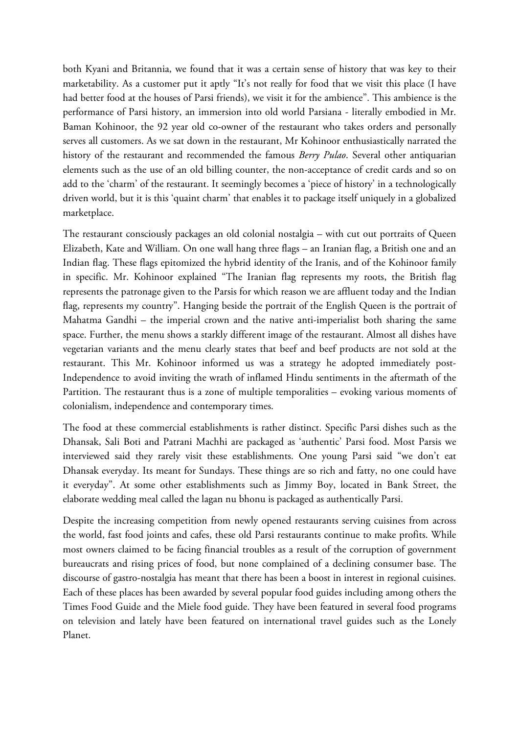both Kyani and Britannia, we found that it was a certain sense of history that was key to their marketability. As a customer put it aptly "It's not really for food that we visit this place (I have had better food at the houses of Parsi friends), we visit it for the ambience". This ambience is the performance of Parsi history, an immersion into old world Parsiana - literally embodied in Mr. Baman Kohinoor, the 92 year old co-owner of the restaurant who takes orders and personally serves all customers. As we sat down in the restaurant, Mr Kohinoor enthusiastically narrated the history of the restaurant and recommended the famous *Berry Pulao*. Several other antiquarian elements such as the use of an old billing counter, the non-acceptance of credit cards and so on add to the 'charm' of the restaurant. It seemingly becomes a 'piece of history' in a technologically driven world, but it is this 'quaint charm' that enables it to package itself uniquely in a globalized marketplace.

The restaurant consciously packages an old colonial nostalgia – with cut out portraits of Queen Elizabeth, Kate and William. On one wall hang three flags – an Iranian flag, a British one and an Indian flag. These flags epitomized the hybrid identity of the Iranis, and of the Kohinoor family in specific. Mr. Kohinoor explained "The Iranian flag represents my roots, the British flag represents the patronage given to the Parsis for which reason we are affluent today and the Indian flag, represents my country". Hanging beside the portrait of the English Queen is the portrait of Mahatma Gandhi – the imperial crown and the native anti-imperialist both sharing the same space. Further, the menu shows a starkly different image of the restaurant. Almost all dishes have vegetarian variants and the menu clearly states that beef and beef products are not sold at the restaurant. This Mr. Kohinoor informed us was a strategy he adopted immediately post-Independence to avoid inviting the wrath of inflamed Hindu sentiments in the aftermath of the Partition. The restaurant thus is a zone of multiple temporalities – evoking various moments of colonialism, independence and contemporary times.

The food at these commercial establishments is rather distinct. Specific Parsi dishes such as the Dhansak, Sali Boti and Patrani Machhi are packaged as 'authentic' Parsi food. Most Parsis we interviewed said they rarely visit these establishments. One young Parsi said "we don't eat Dhansak everyday. Its meant for Sundays. These things are so rich and fatty, no one could have it everyday". At some other establishments such as Jimmy Boy, located in Bank Street, the elaborate wedding meal called the lagan nu bhonu is packaged as authentically Parsi.

Despite the increasing competition from newly opened restaurants serving cuisines from across the world, fast food joints and cafes, these old Parsi restaurants continue to make profits. While most owners claimed to be facing financial troubles as a result of the corruption of government bureaucrats and rising prices of food, but none complained of a declining consumer base. The discourse of gastro-nostalgia has meant that there has been a boost in interest in regional cuisines. Each of these places has been awarded by several popular food guides including among others the Times Food Guide and the Miele food guide. They have been featured in several food programs on television and lately have been featured on international travel guides such as the Lonely Planet.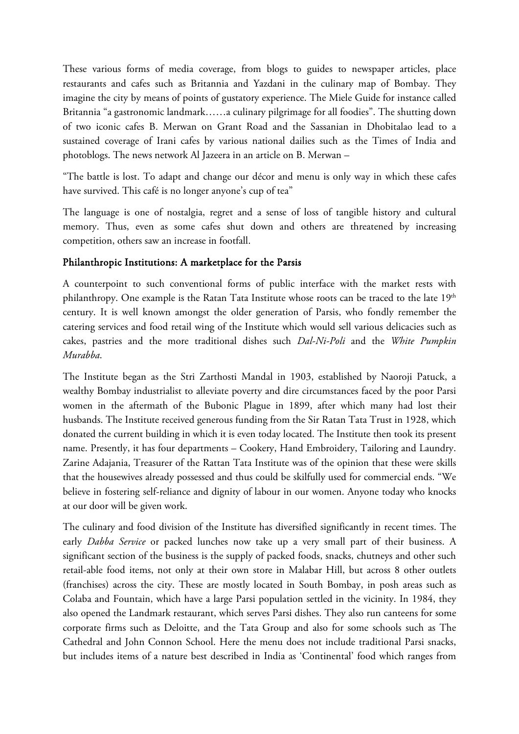These various forms of media coverage, from blogs to guides to newspaper articles, place restaurants and cafes such as Britannia and Yazdani in the culinary map of Bombay. They imagine the city by means of points of gustatory experience. The Miele Guide for instance called Britannia "a gastronomic landmark……a culinary pilgrimage for all foodies". The shutting down of two iconic cafes B. Merwan on Grant Road and the Sassanian in Dhobitalao lead to a sustained coverage of Irani cafes by various national dailies such as the Times of India and photoblogs. The news network Al Jazeera in an article on B. Merwan –

"The battle is lost. To adapt and change our décor and menu is only way in which these cafes have survived. This café is no longer anyone's cup of tea"

The language is one of nostalgia, regret and a sense of loss of tangible history and cultural memory. Thus, even as some cafes shut down and others are threatened by increasing competition, others saw an increase in footfall.

#### Philanthropic Institutions: A marketplace for the Parsis

A counterpoint to such conventional forms of public interface with the market rests with philanthropy. One example is the Ratan Tata Institute whose roots can be traced to the late 19<sup>th</sup> century. It is well known amongst the older generation of Parsis, who fondly remember the catering services and food retail wing of the Institute which would sell various delicacies such as cakes, pastries and the more traditional dishes such *Dal-Ni-Poli* and the *White Pumpkin Murabba*.

The Institute began as the Stri Zarthosti Mandal in 1903, established by Naoroji Patuck, a wealthy Bombay industrialist to alleviate poverty and dire circumstances faced by the poor Parsi women in the aftermath of the Bubonic Plague in 1899, after which many had lost their husbands. The Institute received generous funding from the Sir Ratan Tata Trust in 1928, which donated the current building in which it is even today located. The Institute then took its present name. Presently, it has four departments – Cookery, Hand Embroidery, Tailoring and Laundry. Zarine Adajania, Treasurer of the Rattan Tata Institute was of the opinion that these were skills that the housewives already possessed and thus could be skilfully used for commercial ends. "We believe in fostering self-reliance and dignity of labour in our women. Anyone today who knocks at our door will be given work.

The culinary and food division of the Institute has diversified significantly in recent times. The early *Dabba Service* or packed lunches now take up a very small part of their business. A significant section of the business is the supply of packed foods, snacks, chutneys and other such retail-able food items, not only at their own store in Malabar Hill, but across 8 other outlets (franchises) across the city. These are mostly located in South Bombay, in posh areas such as Colaba and Fountain, which have a large Parsi population settled in the vicinity. In 1984, they also opened the Landmark restaurant, which serves Parsi dishes. They also run canteens for some corporate firms such as Deloitte, and the Tata Group and also for some schools such as The Cathedral and John Connon School. Here the menu does not include traditional Parsi snacks, but includes items of a nature best described in India as 'Continental' food which ranges from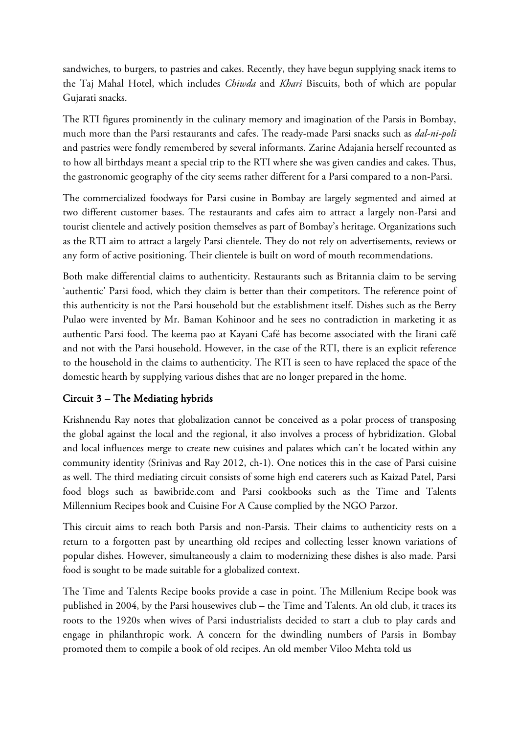sandwiches, to burgers, to pastries and cakes. Recently, they have begun supplying snack items to the Taj Mahal Hotel, which includes *Chiwda* and *Khari* Biscuits, both of which are popular Gujarati snacks.

The RTI figures prominently in the culinary memory and imagination of the Parsis in Bombay, much more than the Parsi restaurants and cafes. The ready-made Parsi snacks such as *dal-ni-poli* and pastries were fondly remembered by several informants. Zarine Adajania herself recounted as to how all birthdays meant a special trip to the RTI where she was given candies and cakes. Thus, the gastronomic geography of the city seems rather different for a Parsi compared to a non-Parsi.

The commercialized foodways for Parsi cusine in Bombay are largely segmented and aimed at two different customer bases. The restaurants and cafes aim to attract a largely non-Parsi and tourist clientele and actively position themselves as part of Bombay's heritage. Organizations such as the RTI aim to attract a largely Parsi clientele. They do not rely on advertisements, reviews or any form of active positioning. Their clientele is built on word of mouth recommendations.

Both make differential claims to authenticity. Restaurants such as Britannia claim to be serving 'authentic' Parsi food, which they claim is better than their competitors. The reference point of this authenticity is not the Parsi household but the establishment itself. Dishes such as the Berry Pulao were invented by Mr. Baman Kohinoor and he sees no contradiction in marketing it as authentic Parsi food. The keema pao at Kayani Café has become associated with the Iirani café and not with the Parsi household. However, in the case of the RTI, there is an explicit reference to the household in the claims to authenticity. The RTI is seen to have replaced the space of the domestic hearth by supplying various dishes that are no longer prepared in the home.

## Circuit 3 – The Mediating hybrids

Krishnendu Ray notes that globalization cannot be conceived as a polar process of transposing the global against the local and the regional, it also involves a process of hybridization. Global and local influences merge to create new cuisines and palates which can't be located within any community identity (Srinivas and Ray 2012, ch-1). One notices this in the case of Parsi cuisine as well. The third mediating circuit consists of some high end caterers such as Kaizad Patel, Parsi food blogs such as bawibride.com and Parsi cookbooks such as the Time and Talents Millennium Recipes book and Cuisine For A Cause complied by the NGO Parzor.

This circuit aims to reach both Parsis and non-Parsis. Their claims to authenticity rests on a return to a forgotten past by unearthing old recipes and collecting lesser known variations of popular dishes. However, simultaneously a claim to modernizing these dishes is also made. Parsi food is sought to be made suitable for a globalized context.

The Time and Talents Recipe books provide a case in point. The Millenium Recipe book was published in 2004, by the Parsi housewives club – the Time and Talents. An old club, it traces its roots to the 1920s when wives of Parsi industrialists decided to start a club to play cards and engage in philanthropic work. A concern for the dwindling numbers of Parsis in Bombay promoted them to compile a book of old recipes. An old member Viloo Mehta told us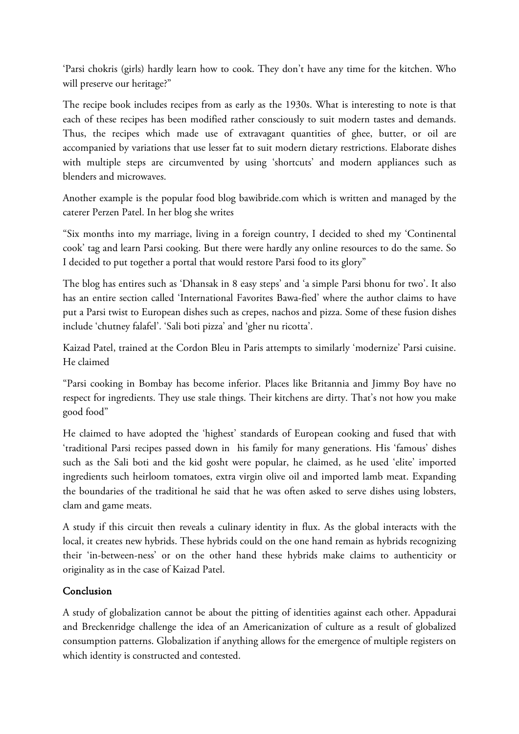'Parsi chokris (girls) hardly learn how to cook. They don't have any time for the kitchen. Who will preserve our heritage?"

The recipe book includes recipes from as early as the 1930s. What is interesting to note is that each of these recipes has been modified rather consciously to suit modern tastes and demands. Thus, the recipes which made use of extravagant quantities of ghee, butter, or oil are accompanied by variations that use lesser fat to suit modern dietary restrictions. Elaborate dishes with multiple steps are circumvented by using 'shortcuts' and modern appliances such as blenders and microwaves.

Another example is the popular food blog bawibride.com which is written and managed by the caterer Perzen Patel. In her blog she writes

"Six months into my marriage, living in a foreign country, I decided to shed my 'Continental cook' tag and learn Parsi cooking. But there were hardly any online resources to do the same. So I decided to put together a portal that would restore Parsi food to its glory"

The blog has entires such as 'Dhansak in 8 easy steps' and 'a simple Parsi bhonu for two'. It also has an entire section called 'International Favorites Bawa-fied' where the author claims to have put a Parsi twist to European dishes such as crepes, nachos and pizza. Some of these fusion dishes include 'chutney falafel'. 'Sali boti pizza' and 'gher nu ricotta'.

Kaizad Patel, trained at the Cordon Bleu in Paris attempts to similarly 'modernize' Parsi cuisine. He claimed

"Parsi cooking in Bombay has become inferior. Places like Britannia and Jimmy Boy have no respect for ingredients. They use stale things. Their kitchens are dirty. That's not how you make good food"

He claimed to have adopted the 'highest' standards of European cooking and fused that with 'traditional Parsi recipes passed down in his family for many generations. His 'famous' dishes such as the Sali boti and the kid gosht were popular, he claimed, as he used 'elite' imported ingredients such heirloom tomatoes, extra virgin olive oil and imported lamb meat. Expanding the boundaries of the traditional he said that he was often asked to serve dishes using lobsters, clam and game meats.

A study if this circuit then reveals a culinary identity in flux. As the global interacts with the local, it creates new hybrids. These hybrids could on the one hand remain as hybrids recognizing their 'in-between-ness' or on the other hand these hybrids make claims to authenticity or originality as in the case of Kaizad Patel.

#### Conclusion

A study of globalization cannot be about the pitting of identities against each other. Appadurai and Breckenridge challenge the idea of an Americanization of culture as a result of globalized consumption patterns. Globalization if anything allows for the emergence of multiple registers on which identity is constructed and contested.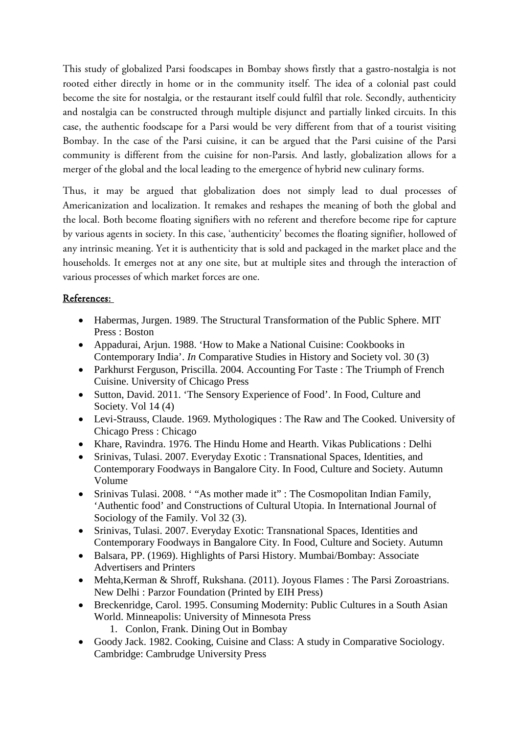This study of globalized Parsi foodscapes in Bombay shows firstly that a gastro-nostalgia is not rooted either directly in home or in the community itself. The idea of a colonial past could become the site for nostalgia, or the restaurant itself could fulfil that role. Secondly, authenticity and nostalgia can be constructed through multiple disjunct and partially linked circuits. In this case, the authentic foodscape for a Parsi would be very different from that of a tourist visiting Bombay. In the case of the Parsi cuisine, it can be argued that the Parsi cuisine of the Parsi community is different from the cuisine for non-Parsis. And lastly, globalization allows for a merger of the global and the local leading to the emergence of hybrid new culinary forms.

Thus, it may be argued that globalization does not simply lead to dual processes of Americanization and localization. It remakes and reshapes the meaning of both the global and the local. Both become floating signifiers with no referent and therefore become ripe for capture by various agents in society. In this case, 'authenticity' becomes the floating signifier, hollowed of any intrinsic meaning. Yet it is authenticity that is sold and packaged in the market place and the households. It emerges not at any one site, but at multiple sites and through the interaction of various processes of which market forces are one.

#### References:

- Habermas, Jurgen. 1989. The Structural Transformation of the Public Sphere. MIT Press : Boston
- Appadurai, Arjun. 1988. 'How to Make a National Cuisine: Cookbooks in Contemporary India'. *In* Comparative Studies in History and Society vol. 30 (3)
- Parkhurst Ferguson, Priscilla. 2004. Accounting For Taste: The Triumph of French Cuisine. University of Chicago Press
- Sutton, David. 2011. 'The Sensory Experience of Food'. In Food, Culture and Society. Vol 14 (4)
- Levi-Strauss, Claude. 1969. Mythologiques : The Raw and The Cooked. University of Chicago Press : Chicago
- Khare, Ravindra. 1976. The Hindu Home and Hearth. Vikas Publications : Delhi
- Srinivas, Tulasi. 2007. Everyday Exotic : Transnational Spaces, Identities, and Contemporary Foodways in Bangalore City. In Food, Culture and Society. Autumn Volume
- Srinivas Tulasi. 2008. '"As mother made it" : The Cosmopolitan Indian Family, 'Authentic food' and Constructions of Cultural Utopia. In International Journal of Sociology of the Family. Vol 32 (3).
- Srinivas, Tulasi. 2007. Everyday Exotic: Transnational Spaces, Identities and Contemporary Foodways in Bangalore City. In Food, Culture and Society. Autumn
- Balsara, PP. (1969). Highlights of Parsi History. Mumbai/Bombay: Associate Advertisers and Printers
- Mehta,Kerman & Shroff, Rukshana. (2011). Joyous Flames : The Parsi Zoroastrians. New Delhi : Parzor Foundation (Printed by EIH Press)
- Breckenridge, Carol. 1995. Consuming Modernity: Public Cultures in a South Asian World. Minneapolis: University of Minnesota Press
	- 1. Conlon, Frank. Dining Out in Bombay
- Goody Jack. 1982. Cooking, Cuisine and Class: A study in Comparative Sociology. Cambridge: Cambrudge University Press